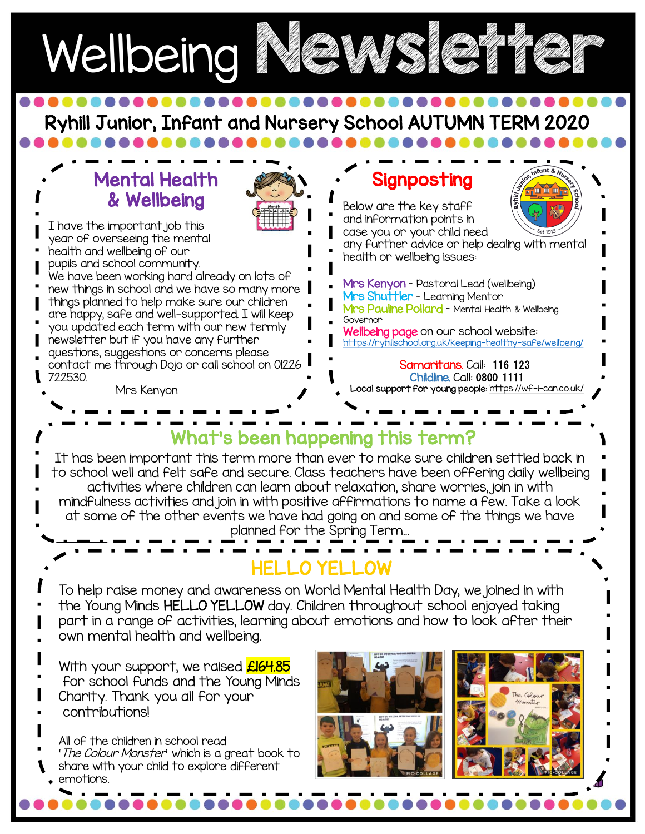

Ryhill Junior, Infant and Nursery School AUTUMN TERM 2020



To help raise money and awareness on World Mental Health Day, we joined in with the Young Minds HELLO YELLOW day. Children throughout school enjoyed taking part in a range of activities, learning about emotions and how to look after their own mental health and wellbeing.

With your support, we raised **£164.85** for school funds and the Young Minds Charity. Thank you all for your contributions!

All of the children in school read 'The Colour Monster' which is a great book to share with your child to explore different emotions.